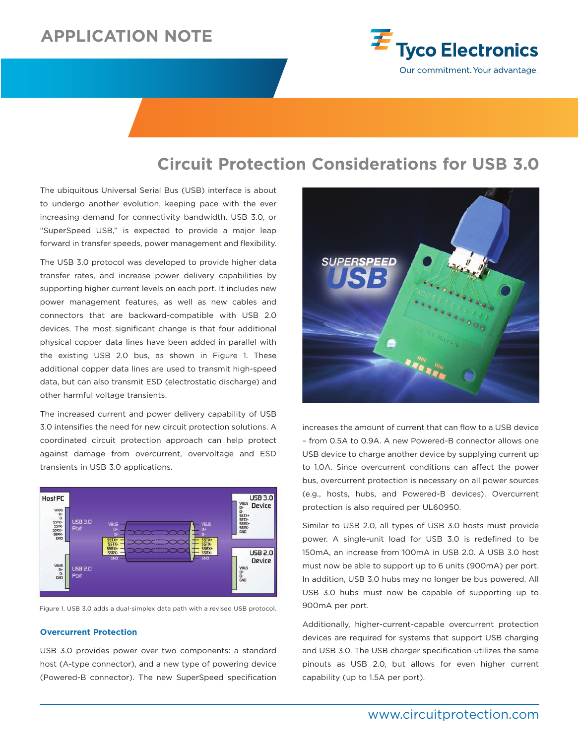# **APPLICATION NOTE**



## **Circuit Protection Considerations for USB 3.0**

The ubiquitous Universal Serial Bus (USB) interface is about to undergo another evolution, keeping pace with the ever increasing demand for connectivity bandwidth. USB 3.0, or "SuperSpeed USB," is expected to provide a major leap forward in transfer speeds, power management and flexibility.

The USB 3.0 protocol was developed to provide higher data transfer rates, and increase power delivery capabilities by supporting higher current levels on each port. It includes new power management features, as well as new cables and connectors that are backward-compatible with USB 2.0 devices. The most significant change is that four additional physical copper data lines have been added in parallel with the existing USB 2.0 bus, as shown in Figure 1. These additional copper data lines are used to transmit high-speed data, but can also transmit ESD (electrostatic discharge) and other harmful voltage transients.

The increased current and power delivery capability of USB 3.0 intensifies the need for new circuit protection solutions. A coordinated circuit protection approach can help protect against damage from overcurrent, overvoltage and ESD transients in USB 3.0 applications.



Figure 1. USB 3.0 adds a dual-simplex data path with a revised USB protocol.

### **Overcurrent Protection**

USB 3.0 provides power over two components: a standard host (A-type connector), and a new type of powering device (Powered-B connector). The new SuperSpeed specification



increases the amount of current that can flow to a USB device – from 0.5A to 0.9A. A new Powered-B connector allows one USB device to charge another device by supplying current up to 1.0A. Since overcurrent conditions can affect the power bus, overcurrent protection is necessary on all power sources (e.g., hosts, hubs, and Powered-B devices). Overcurrent protection is also required per UL60950.

Similar to USB 2.0, all types of USB 3.0 hosts must provide power. A single-unit load for USB 3.0 is redefined to be 150mA, an increase from 100mA in USB 2.0. A USB 3.0 host must now be able to support up to 6 units (900mA) per port. In addition, USB 3.0 hubs may no longer be bus powered. All USB 3.0 hubs must now be capable of supporting up to 900mA per port.

Additionally, higher-current-capable overcurrent protection devices are required for systems that support USB charging and USB 3.0. The USB charger specification utilizes the same pinouts as USB 2.0, but allows for even higher current capability (up to 1.5A per port).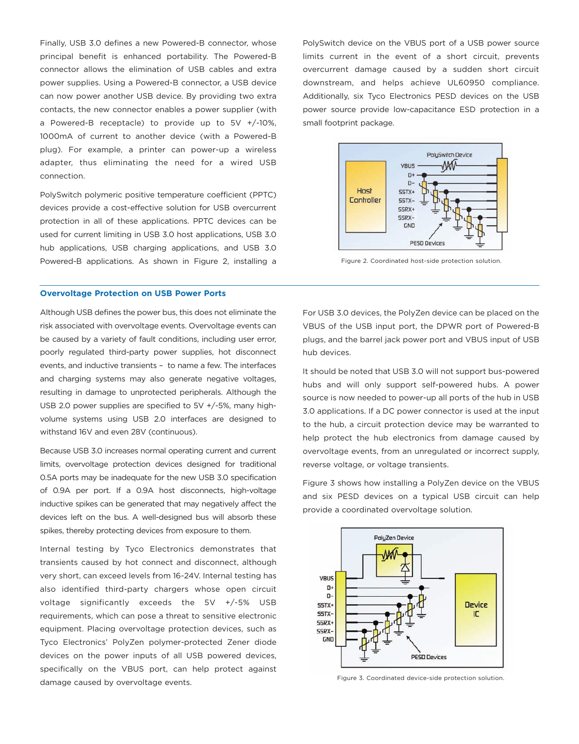Finally, USB 3.0 defines a new Powered-B connector, whose principal benefit is enhanced portability. The Powered-B connector allows the elimination of USB cables and extra power supplies. Using a Powered-B connector, a USB device can now power another USB device. By providing two extra contacts, the new connector enables a power supplier (with a Powered-B receptacle) to provide up to 5V +/-10%, 1000mA of current to another device (with a Powered-B plug). For example, a printer can power-up a wireless adapter, thus eliminating the need for a wired USB connection.

PolySwitch polymeric positive temperature coefficient (PPTC) devices provide a cost-effective solution for USB overcurrent protection in all of these applications. PPTC devices can be used for current limiting in USB 3.0 host applications, USB 3.0 hub applications, USB charging applications, and USB 3.0 Powered-B applications. As shown in Figure 2, installing a

### **Overvoltage Protection on USB Power Ports**

Although USB defines the power bus, this does not eliminate the risk associated with overvoltage events. Overvoltage events can be caused by a variety of fault conditions, including user error, poorly regulated third-party power supplies, hot disconnect events, and inductive transients – to name a few. The interfaces and charging systems may also generate negative voltages, resulting in damage to unprotected peripherals. Although the USB 2.0 power supplies are specified to 5V +/-5%, many highvolume systems using USB 2.0 interfaces are designed to withstand 16V and even 28V (continuous).

Because USB 3.0 increases normal operating current and current limits, overvoltage protection devices designed for traditional 0.5A ports may be inadequate for the new USB 3.0 specification of 0.9A per port. If a 0.9A host disconnects, high-voltage inductive spikes can be generated that may negatively affect the devices left on the bus. A well-designed bus will absorb these spikes, thereby protecting devices from exposure to them.

Internal testing by Tyco Electronics demonstrates that transients caused by hot connect and disconnect, although very short, can exceed levels from 16-24V. Internal testing has also identified third-party chargers whose open circuit voltage significantly exceeds the 5V +/-5% USB requirements, which can pose a threat to sensitive electronic equipment. Placing overvoltage protection devices, such as Tyco Electronics' PolyZen polymer-protected Zener diode devices on the power inputs of all USB powered devices, specifically on the VBUS port, can help protect against damage caused by overvoltage events.

PolySwitch device on the VBUS port of a USB power source limits current in the event of a short circuit, prevents overcurrent damage caused by a sudden short circuit downstream, and helps achieve UL60950 compliance. Additionally, six Tyco Electronics PESD devices on the USB power source provide low-capacitance ESD protection in a small footprint package.



Figure 2. Coordinated host-side protection solution.

For USB 3.0 devices, the PolyZen device can be placed on the VBUS of the USB input port, the DPWR port of Powered-B plugs, and the barrel jack power port and VBUS input of USB hub devices.

It should be noted that USB 3.0 will not support bus-powered hubs and will only support self-powered hubs. A power source is now needed to power-up all ports of the hub in USB 3.0 applications. If a DC power connector is used at the input to the hub, a circuit protection device may be warranted to help protect the hub electronics from damage caused by overvoltage events, from an unregulated or incorrect supply, reverse voltage, or voltage transients.

Figure 3 shows how installing a PolyZen device on the VBUS and six PESD devices on a typical USB circuit can help provide a coordinated overvoltage solution.



Figure 3. Coordinated device-side protection solution.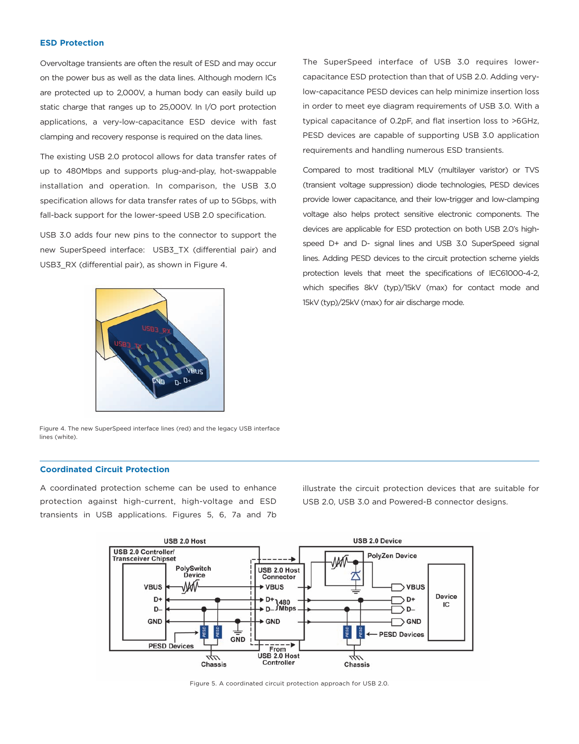## **ESD Protection**

Overvoltage transients are often the result of ESD and may occur on the power bus as well as the data lines. Although modern ICs are protected up to 2,000V, a human body can easily build up static charge that ranges up to 25,000V. In I/O port protection applications, a very-low-capacitance ESD device with fast clamping and recovery response is required on the data lines.

The existing USB 2.0 protocol allows for data transfer rates of up to 480Mbps and supports plug-and-play, hot-swappable installation and operation. In comparison, the USB 3.0 specification allows for data transfer rates of up to 5Gbps, with fall-back support for the lower-speed USB 2.0 specification.

USB 3.0 adds four new pins to the connector to support the new SuperSpeed interface: USB3\_TX (differential pair) and USB3\_RX (differential pair), as shown in Figure 4.

The SuperSpeed interface of USB 3.0 requires lowercapacitance ESD protection than that of USB 2.0. Adding verylow-capacitance PESD devices can help minimize insertion loss in order to meet eye diagram requirements of USB 3.0. With a typical capacitance of 0.2pF, and flat insertion loss to >6GHz, PESD devices are capable of supporting USB 3.0 application requirements and handling numerous ESD transients.

Compared to most traditional MLV (multilayer varistor) or TVS (transient voltage suppression) diode technologies, PESD devices provide lower capacitance, and their low-trigger and low-clamping voltage also helps protect sensitive electronic components. The devices are applicable for ESD protection on both USB 2.0's highspeed D+ and D- signal lines and USB 3.0 SuperSpeed signal lines. Adding PESD devices to the circuit protection scheme yields protection levels that meet the specifications of IEC61000-4-2, which specifies 8kV (typ)/15kV (max) for contact mode and 15kV (typ)/25kV (max) for air discharge mode.



Figure 4. The new SuperSpeed interface lines (red) and the legacy USB interface lines (white).

## **Coordinated Circuit Protection**

A coordinated protection scheme can be used to enhance protection against high-current, high-voltage and ESD transients in USB applications. Figures 5, 6, 7a and 7b illustrate the circuit protection devices that are suitable for USB 2.0, USB 3.0 and Powered-B connector designs.



Figure 5. A coordinated circuit protection approach for USB 2.0.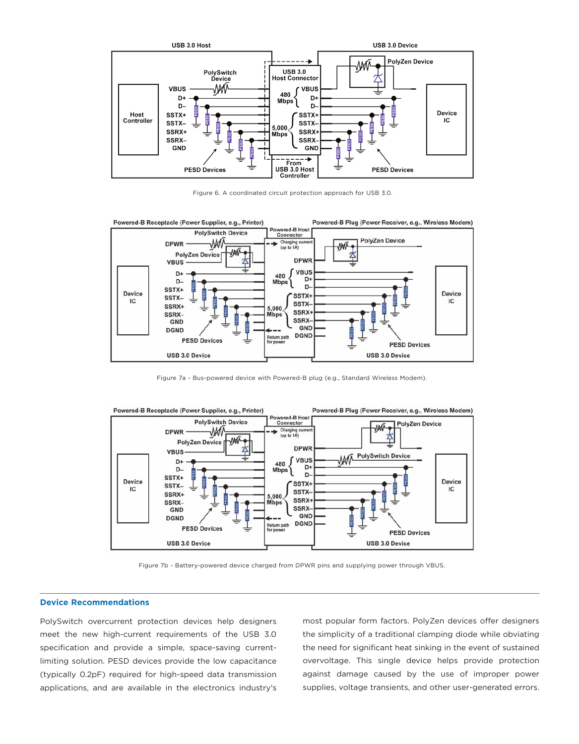

Figure 6. A coordinated circuit protection approach for USB 3.0.



Figure 7a - Bus-powered device with Powered-B plug (e.g., Standard Wireless Modem).



Figure 7b - Battery-powered device charged from DPWR pins and supplying power through VBUS.

## **Device Recommendations**

PolySwitch overcurrent protection devices help designers meet the new high-current requirements of the USB 3.0 specification and provide a simple, space-saving currentlimiting solution. PESD devices provide the low capacitance (typically 0.2pF) required for high-speed data transmission applications, and are available in the electronics industry's

most popular form factors. PolyZen devices offer designers the simplicity of a traditional clamping diode while obviating the need for significant heat sinking in the event of sustained overvoltage. This single device helps provide protection against damage caused by the use of improper power supplies, voltage transients, and other user-generated errors.